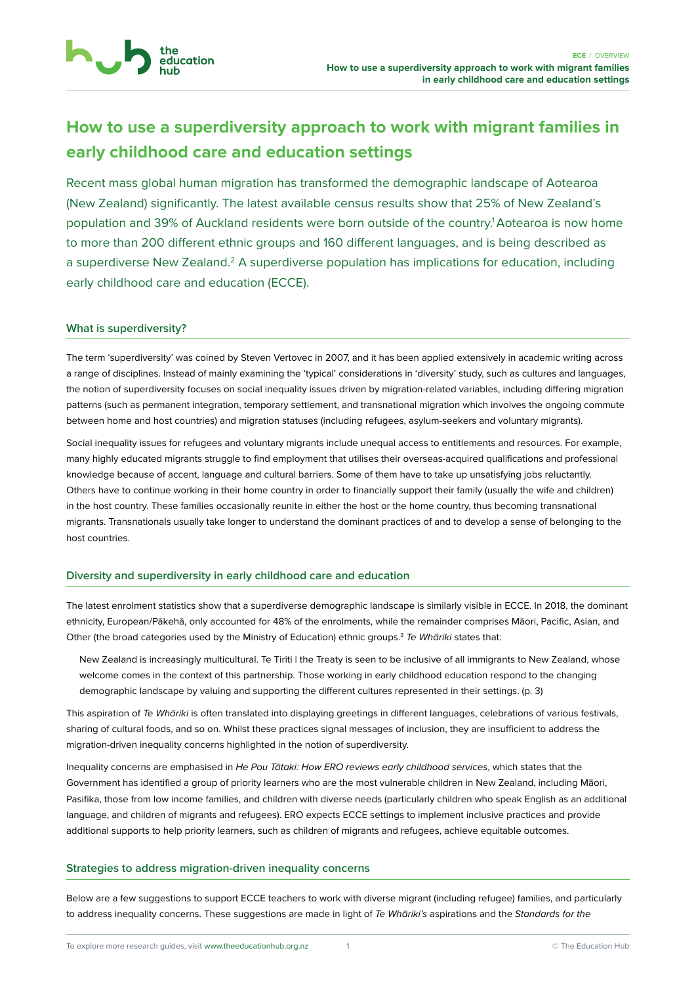

# **How to use a superdiversity approach to work with migrant families in early childhood care and education settings**

Recent mass global human migration has transformed the demographic landscape of Aotearoa (New Zealand) significantly. The latest available census results show that 25% of New Zealand's population and 39% of Auckland residents were born outside of the country.<sup>1</sup> Aotearoa is now home to more than 200 different ethnic groups and 160 different languages, and is being described as a superdiverse New Zealand.<sup>2</sup> A superdiverse population has implications for education, including early childhood care and education (ECCE).

# **What is superdiversity?**

The term 'superdiversity' was coined by Steven Vertovec in 2007, and it has been applied extensively in academic writing across a range of disciplines. Instead of mainly examining the 'typical' considerations in 'diversity' study, such as cultures and languages, the notion of superdiversity focuses on social inequality issues driven by migration-related variables, including differing migration patterns (such as permanent integration, temporary settlement, and transnational migration which involves the ongoing commute between home and host countries) and migration statuses (including refugees, asylum-seekers and voluntary migrants).

Social inequality issues for refugees and voluntary migrants include unequal access to entitlements and resources. For example, many highly educated migrants struggle to find employment that utilises their overseas-acquired qualifications and professional knowledge because of accent, language and cultural barriers. Some of them have to take up unsatisfying jobs reluctantly. Others have to continue working in their home country in order to financially support their family (usually the wife and children) in the host country. These families occasionally reunite in either the host or the home country, thus becoming transnational migrants. Transnationals usually take longer to understand the dominant practices of and to develop a sense of belonging to the host countries.

### **Diversity and superdiversity in early childhood care and education**

The latest enrolment statistics show that a superdiverse demographic landscape is similarly visible in ECCE. In 2018, the dominant ethnicity, European/Pākehā, only accounted for 48% of the enrolments, while the remainder comprises Māori, Pacific, Asian, and Other (the broad categories used by the Ministry of Education) ethnic groups.<sup>3</sup> Te Whariki states that:

New Zealand is increasingly multicultural. Te Tiriti | the Treaty is seen to be inclusive of all immigrants to New Zealand, whose welcome comes in the context of this partnership. Those working in early childhood education respond to the changing demographic landscape by valuing and supporting the different cultures represented in their settings. (p. 3)

This aspiration of Te Whariki is often translated into displaying greetings in different languages, celebrations of various festivals, sharing of cultural foods, and so on. Whilst these practices signal messages of inclusion, they are insufficient to address the migration-driven inequality concerns highlighted in the notion of superdiversity.

Inequality concerns are emphasised in He Pou Tātaki: How ERO reviews early childhood services, which states that the Government has identified a group of priority learners who are the most vulnerable children in New Zealand, including Māori, Pasifika, those from low income families, and children with diverse needs (particularly children who speak English as an additional language, and children of migrants and refugees). ERO expects ECCE settings to implement inclusive practices and provide additional supports to help priority learners, such as children of migrants and refugees, achieve equitable outcomes.

### **Strategies to address migration-driven inequality concerns**

Below are a few suggestions to support ECCE teachers to work with diverse migrant (including refugee) families, and particularly to address inequality concerns. These suggestions are made in light of Te Whariki's aspirations and the Standards for the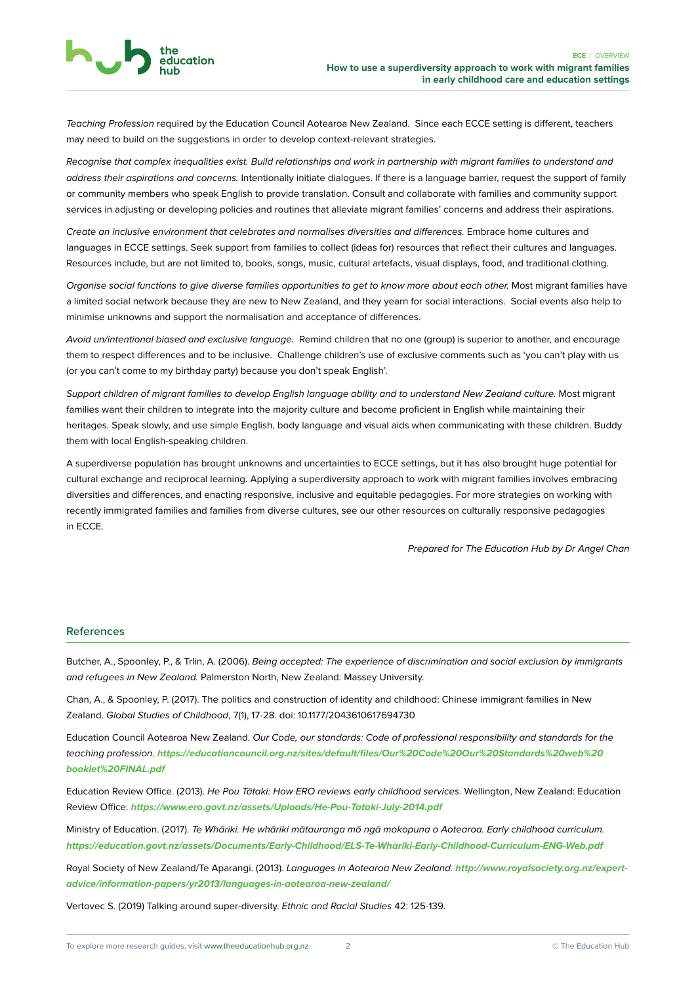Teaching Profession required by the Education Council Aotearoa New Zealand. Since each ECCE setting is different, teachers may need to build on the suggestions in order to develop context-relevant strategies.

education

Recognise that complex inequalities exist. Build relationships and work in partnership with migrant families to understand and address their aspirations and concerns. Intentionally initiate dialogues. If there is a language barrier, request the support of family or community members who speak English to provide translation. Consult and collaborate with families and community support services in adjusting or developing policies and routines that alleviate migrant families' concerns and address their aspirations.

Create an inclusive environment that celebrates and normalises diversities and differences. Embrace home cultures and languages in ECCE settings. Seek support from families to collect (ideas for) resources that reflect their cultures and languages. Resources include, but are not limited to, books, songs, music, cultural artefacts, visual displays, food, and traditional clothing.

Organise social functions to give diverse families opportunities to get to know more about each other. Most migrant families have a limited social network because they are new to New Zealand, and they yearn for social interactions. Social events also help to minimise unknowns and support the normalisation and acceptance of differences.

Avoid un/intentional biased and exclusive language. Remind children that no one (group) is superior to another, and encourage them to respect differences and to be inclusive. Challenge children's use of exclusive comments such as 'you can't play with us (or you can't come to my birthday party) because you don't speak English'.

Support children of migrant families to develop English language ability and to understand New Zealand culture. Most migrant families want their children to integrate into the majority culture and become proficient in English while maintaining their heritages. Speak slowly, and use simple English, body language and visual aids when communicating with these children. Buddy them with local English-speaking children.

A superdiverse population has brought unknowns and uncertainties to ECCE settings, but it has also brought huge potential for cultural exchange and reciprocal learning. Applying a superdiversity approach to work with migrant families involves embracing diversities and differences, and enacting responsive, inclusive and equitable pedagogies. For more strategies on working with recently immigrated families and families from diverse cultures, see our other resources on culturally responsive pedagogies in ECCE.

Prepared for The Education Hub by Dr Angel Chan

#### **References**

Butcher, A., Spoonley, P., & Trlin, A. (2006). Being accepted: The experience of discrimination and social exclusion by immigrants and refugees in New Zealand. Palmerston North, New Zealand: Massey University.

Chan, A., & Spoonley, P. (2017). The politics and construction of identity and childhood: Chinese immigrant families in New Zealand. Global Studies of Childhood, 7(1), 17-28. doi: 10.1177/2043610617694730

Education Council Aotearoa New Zealand. Our Code, our standards: Code of professional responsibility and standards for the teaching profession. *[https://educationcouncil.org.nz/sites/default/files/Our%20Code%20Our%20Standards%20web%20](https://educationcouncil.org.nz/sites/default/files/Our%20Code%20Our%20Standards%20web%20booklet%20FINAL.pdf) [booklet%20FINAL.pdf](https://educationcouncil.org.nz/sites/default/files/Our%20Code%20Our%20Standards%20web%20booklet%20FINAL.pdf)*

Education Review Office. (2013). He Pou Tātaki: How ERO reviews early childhood services. Wellington, New Zealand: Education Review Office. *<https://www.ero.govt.nz/assets/Uploads/He-Pou-Tataki-July-2014.pdf>*

Ministry of Education. (2017). Te Whāriki. He whāriki mātauranga mō ngā mokopuna o Aotearoa. Early childhood curriculum. *<https://education.govt.nz/assets/Documents/Early-Childhood/ELS-Te-Whariki-Early-Childhood-Curriculum-ENG-Web.pdf>*

Royal Society of New Zealand/Te Aparangi. (2013). Languages in Aotearoa New Zealand. *[http://www.royalsociety.org.nz/expert](http://www.royalsociety.org.nz/expert-advice/information-papers/yr2013/languages-in-aotearoa-new-zealand/)[advice/information-papers/yr2013/languages-in-aotearoa-new-zealand/](http://www.royalsociety.org.nz/expert-advice/information-papers/yr2013/languages-in-aotearoa-new-zealand/)*

Vertovec S. (2019) Talking around super-diversity. Ethnic and Racial Studies 42: 125-139.